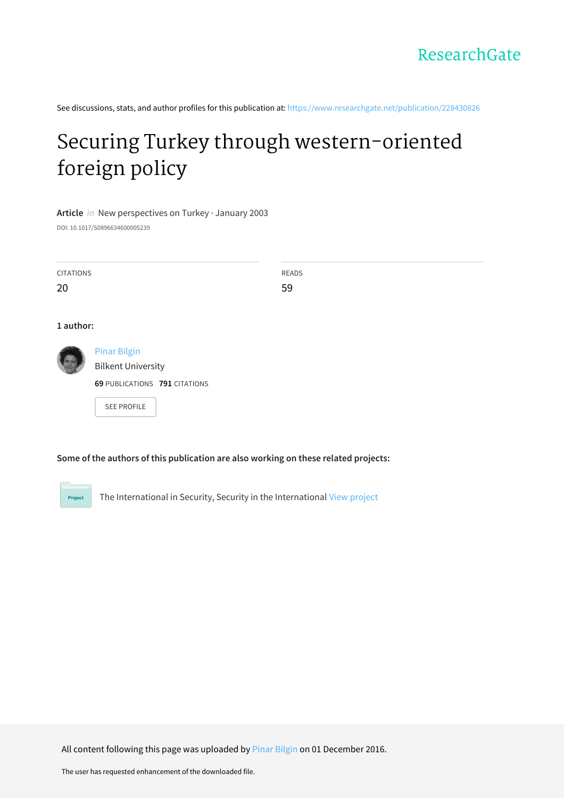See discussions, stats, and author profiles for this publication at: [https://www.researchgate.net/publication/228430826](https://www.researchgate.net/publication/228430826_Securing_Turkey_through_western-oriented_foreign_policy?enrichId=rgreq-a8fa866145865050172ab29bda58dc6d-XXX&enrichSource=Y292ZXJQYWdlOzIyODQzMDgyNjtBUzo0MzQ0MTEzODE0OTc4NTdAMTQ4MDU4MzE1MjM5NQ%3D%3D&el=1_x_2&_esc=publicationCoverPdf)

# Securing Turkey through [western-oriented](https://www.researchgate.net/publication/228430826_Securing_Turkey_through_western-oriented_foreign_policy?enrichId=rgreq-a8fa866145865050172ab29bda58dc6d-XXX&enrichSource=Y292ZXJQYWdlOzIyODQzMDgyNjtBUzo0MzQ0MTEzODE0OTc4NTdAMTQ4MDU4MzE1MjM5NQ%3D%3D&el=1_x_3&_esc=publicationCoverPdf) foreign policy

**Article** in New perspectives on Turkey · January 2003

DOI: 10.1017/S0896634600005239

| <b>CITATIONS</b> |                               | <b>READS</b> |
|------------------|-------------------------------|--------------|
| 20               |                               | 59           |
|                  |                               |              |
| 1 author:        |                               |              |
|                  | <b>Pinar Bilgin</b>           |              |
|                  | <b>Bilkent University</b>     |              |
|                  | 69 PUBLICATIONS 791 CITATIONS |              |
|                  | <b>SEE PROFILE</b>            |              |

**Some of the authors of this publication are also working on these related projects:**

Project

The International in Security, Security in the International View [project](https://www.researchgate.net/project/The-International-in-Security-Security-in-the-International?enrichId=rgreq-a8fa866145865050172ab29bda58dc6d-XXX&enrichSource=Y292ZXJQYWdlOzIyODQzMDgyNjtBUzo0MzQ0MTEzODE0OTc4NTdAMTQ4MDU4MzE1MjM5NQ%3D%3D&el=1_x_9&_esc=publicationCoverPdf)

All content following this page was uploaded by Pinar [Bilgin](https://www.researchgate.net/profile/Pinar_Bilgin?enrichId=rgreq-a8fa866145865050172ab29bda58dc6d-XXX&enrichSource=Y292ZXJQYWdlOzIyODQzMDgyNjtBUzo0MzQ0MTEzODE0OTc4NTdAMTQ4MDU4MzE1MjM5NQ%3D%3D&el=1_x_10&_esc=publicationCoverPdf) on 01 December 2016.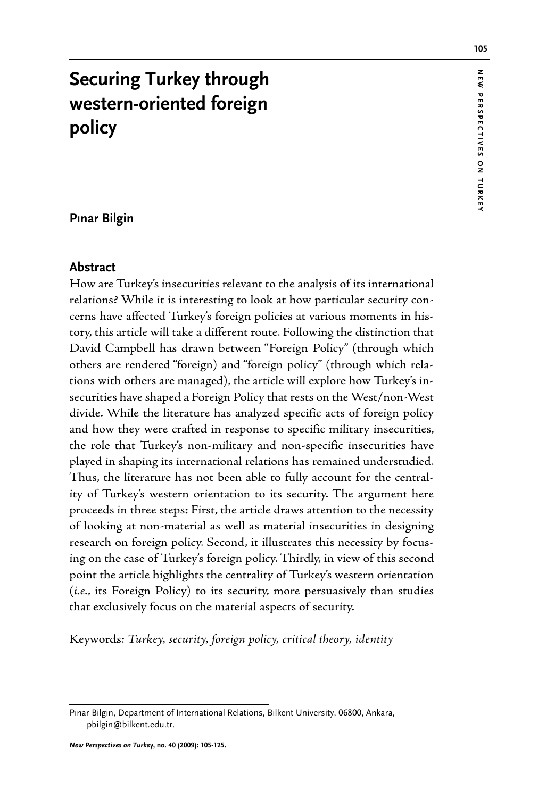# **Securing Turkey through western-oriented foreign policy**

## **Pınar Bilgin**

#### **Abstract**

How are Turkey's insecurities relevant to the analysis of its international relations? While it is interesting to look at how particular security concerns have affected Turkey's foreign policies at various moments in history, this article will take a different route. Following the distinction that David Campbell has drawn between "Foreign Policy" (through which others are rendered "foreign) and "foreign policy" (through which relations with others are managed), the article will explore how Turkey's insecurities have shaped a Foreign Policy that rests on the West/non-West divide. While the literature has analyzed specific acts of foreign policy and how they were crafted in response to specific military insecurities, the role that Turkey's non-military and non-specific insecurities have played in shaping its international relations has remained understudied. Thus, the literature has not been able to fully account for the centrality of Turkey's western orientation to its security. The argument here proceeds in three steps: First, the article draws attention to the necessity of looking at non-material as well as material insecurities in designing research on foreign policy. Second, it illustrates this necessity by focusing on the case of Turkey's foreign policy. Thirdly, in view of this second point the article highlights the centrality of Turkey's western orientation (*i.e.*, its Foreign Policy) to its security, more persuasively than studies that exclusively focus on the material aspects of security.

Keywords: *Turkey, security, foreign policy, critical theory, identity*

Pınar Bilgin, Department of International Relations, Bilkent University, 06800, Ankara, pbilgin@bilkent.edu.tr.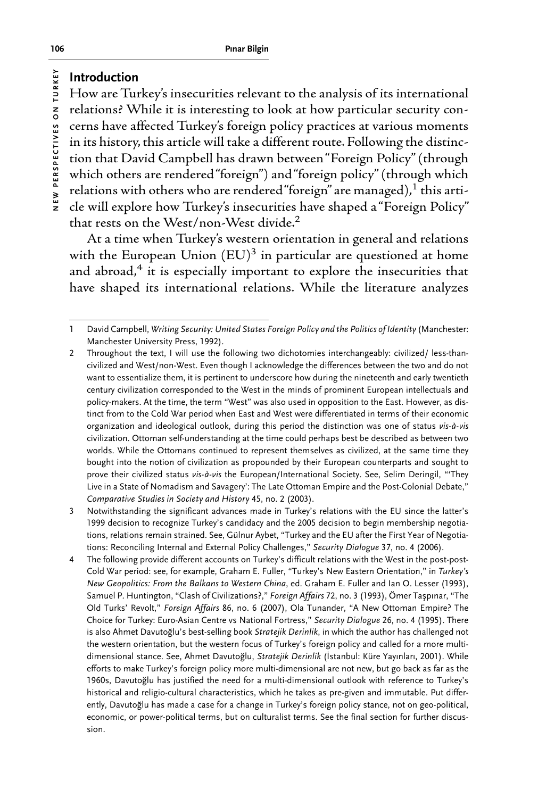#### **Introduction**

How are Turkey's insecurities relevant to the analysis of its international relations? While it is interesting to look at how particular security concerns have affected Turkey's foreign policy practices at various moments in its history, this article will take a different route. Following the distinction that David Campbell has drawn between "Foreign Policy" (through which others are rendered "foreign") and "foreign policy" (through which relations with others who are rendered "foreign" are managed), $1$  this article will explore how Turkey's insecurities have shaped a "Foreign Policy" that rests on the West/non-West divide.<sup>2</sup>

At a time when Turkey's western orientation in general and relations with the European Union  $(EU)^3$  in particular are questioned at home and abroad, $4$  it is especially important to explore the insecurities that have shaped its international relations. While the literature analyzes

- Throughout the text, I will use the following two dichotomies interchangeably: civilized/ less-thancivilized and West/non-West. Even though I acknowledge the differences between the two and do not want to essentialize them, it is pertinent to underscore how during the nineteenth and early twentieth century civilization corresponded to the West in the minds of prominent European intellectuals and policy-makers. At the time, the term "West" was also used in opposition to the East. However, as distinct from to the Cold War period when East and West were differentiated in terms of their economic organization and ideological outlook, during this period the distinction was one of status *vis-à-vis* civilization. Ottoman self-understanding at the time could perhaps best be described as between two worlds. While the Ottomans continued to represent themselves as civilized, at the same time they bought into the notion of civilization as propounded by their European counterparts and sought to prove their civilized status *vis-à-vis* the European/International Society. See, Selim Deringil, "'They Live in a State of Nomadism and Savagery': The Late Ottoman Empire and the Post-Colonial Debate," *Comparative Studies in Society and History* 45, no. 2 (2003).
- 3 Notwithstanding the significant advances made in Turkey's relations with the EU since the latter's 1999 decision to recognize Turkey's candidacy and the 2005 decision to begin membership negotiations, relations remain strained. See, Gülnur Aybet, "Turkey and the EU after the First Year of Negotiations: Reconciling Internal and External Policy Challenges," *Security Dialogue* 37, no. 4 (2006).
- 4 The following provide different accounts on Turkey's difficult relations with the West in the post-post-Cold War period: see, for example, Graham E. Fuller, "Turkey's New Eastern Orientation," in *Turkey's New Geopolitics: From the Balkans to Western China*, ed. Graham E. Fuller and Ian O. Lesser (1993), Samuel P. Huntington, "Clash of Civilizations?," *Foreign Affairs* 72, no. 3 (1993), Ömer Taşpınar, "The Old Turks' Revolt," *Foreign Affairs* 86, no. 6 (2007), Ola Tunander, "A New Ottoman Empire? The Choice for Turkey: Euro-Asian Centre vs National Fortress," *Security Dialogue* 26, no. 4 (1995). There is also Ahmet Davutoğlu's best-selling book *Stratejik Derinlik*, in which the author has challenged not the western orientation, but the western focus of Turkey's foreign policy and called for a more multidimensional stance. See, Ahmet Davutoğlu, *Stratejik Derinlik* (İstanbul: Küre Yayınları, 2001). While efforts to make Turkey's foreign policy more multi-dimensional are not new, but go back as far as the 1960s, Davutoğlu has justified the need for a multi-dimensional outlook with reference to Turkey's historical and religio-cultural characteristics, which he takes as pre-given and immutable. Put differently, Davutoğlu has made a case for a change in Turkey's foreign policy stance, not on geo-political, economic, or power-political terms, but on culturalist terms. See the final section for further discussion.

<sup>1</sup> David Campbell, *Writing Security: United States Foreign Policy and the Politics of Identity* (Manchester: Manchester University Press, 1992).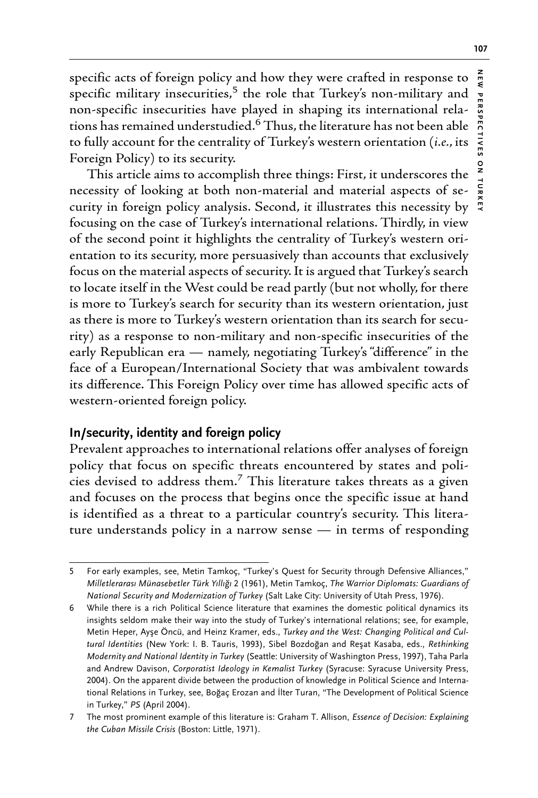specific acts of foreign policy and how they were crafted in response to specific military insecurities, $5$  the role that Turkey's non-military and specific military insecurities, $^5$  the role that Turkey's non-military and non-specific insecurities have played in shaping its international relations has remained understudied. $^6$  Thus, the literature has not been able to fully account for the centrality of Turkey's western orientation (*i.e.*, its Foreign Policy) to its security.

This article aims to accomplish three things: First, it underscores the necessity of looking at both non-material and material aspects of security in foreign policy analysis. Second, it illustrates this necessity by focusing on the case of Turkey's international relations. Thirdly, in view of the second point it highlights the centrality of Turkey's western orientation to its security, more persuasively than accounts that exclusively focus on the material aspects of security. It is argued that Turkey's search to locate itself in the West could be read partly (but not wholly, for there is more to Turkey's search for security than its western orientation, just as there is more to Turkey's western orientation than its search for security) as a response to non-military and non-specific insecurities of the early Republican era — namely, negotiating Turkey's "difference" in the face of a European/International Society that was ambivalent towards its difference. This Foreign Policy over time has allowed specific acts of western-oriented foreign policy.

# **In/security, identity and foreign policy**

Prevalent approaches to international relations offer analyses of foreign policy that focus on specific threats encountered by states and policies devised to address them.<sup>7</sup> This literature takes threats as a given and focuses on the process that begins once the specific issue at hand is identified as a threat to a particular country's security. This literature understands policy in a narrow sense — in terms of responding

<sup>5</sup> For early examples, see, Metin Tamkoç, "Turkey's Quest for Security through Defensive Alliances," *Milletlerarası Münasebetler Türk Yıllığı* 2 (1961), Metin Tamkoç, *The Warrior Diplomats: Guardians of National Security and Modernization of Turkey* (Salt Lake City: University of Utah Press, 1976).

<sup>6</sup> While there is a rich Political Science literature that examines the domestic political dynamics its insights seldom make their way into the study of Turkey's international relations; see, for example, Metin Heper, Ayşe Öncü, and Heinz Kramer, eds., *Turkey and the West: Changing Political and Cultural Identities* (New York: I. B. Tauris, 1993), Sibel Bozdoğan and Reşat Kasaba, eds., *Rethinking Modernity and National Identity in Turkey* (Seattle: University of Washington Press, 1997), Taha Parla and Andrew Davison, *Corporatist Ideology in Kemalist Turkey* (Syracuse: Syracuse University Press, 2004). On the apparent divide between the production of knowledge in Political Science and International Relations in Turkey, see, Boğaç Erozan and İlter Turan, "The Development of Political Science in Turkey," *PS* (April 2004).

<sup>7</sup> The most prominent example of this literature is: Graham T. Allison, *Essence of Decision: Explaining the Cuban Missile Crisis* (Boston: Little, 1971).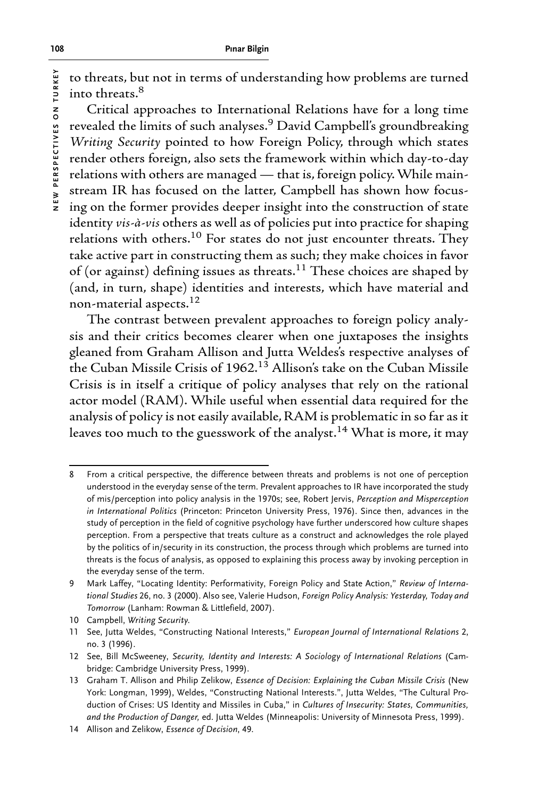to threats, but not in terms of understanding how problems are turned into threats.<sup>8</sup>

Critical approaches to International Relations have for a long time revealed the limits of such analyses.<sup>9</sup> David Campbell's groundbreaking *Writing Security* pointed to how Foreign Policy, through which states render others foreign, also sets the framework within which day-to-day relations with others are managed — that is, foreign policy. While mainstream IR has focused on the latter, Campbell has shown how focusing on the former provides deeper insight into the construction of state identity *vis-à-vis* others as well as of policies put into practice for shaping relations with others.<sup>10</sup> For states do not just encounter threats. They take active part in constructing them as such; they make choices in favor of (or against) defining issues as threats.<sup>11</sup> These choices are shaped by (and, in turn, shape) identities and interests, which have material and non-material aspects.<sup>12</sup>

The contrast between prevalent approaches to foreign policy analysis and their critics becomes clearer when one juxtaposes the insights gleaned from Graham Allison and Jutta Weldes's respective analyses of the Cuban Missile Crisis of 1962.<sup>13</sup> Allison's take on the Cuban Missile Crisis is in itself a critique of policy analyses that rely on the rational actor model (RAM). While useful when essential data required for the analysis of policy is not easily available, RAM is problematic in so far as it leaves too much to the guesswork of the analyst.<sup>14</sup> What is more, it may

<sup>8</sup> From a critical perspective, the difference between threats and problems is not one of perception understood in the everyday sense of the term. Prevalent approaches to IR have incorporated the study of mis/perception into policy analysis in the 1970s; see, Robert Jervis, *Perception and Misperception in International Politics* (Princeton: Princeton University Press, 1976). Since then, advances in the study of perception in the field of cognitive psychology have further underscored how culture shapes perception. From a perspective that treats culture as a construct and acknowledges the role played by the politics of in/security in its construction, the process through which problems are turned into threats is the focus of analysis, as opposed to explaining this process away by invoking perception in the everyday sense of the term.

<sup>9</sup> Mark Laffey, "Locating Identity: Performativity, Foreign Policy and State Action," *Review of International Studies* 26, no. 3 (2000). Also see, Valerie Hudson, *Foreign Policy Analysis: Yesterday, Today and Tomorrow* (Lanham: Rowman & Littlefield, 2007).

<sup>10</sup> Campbell, *Writing Security*.

<sup>11</sup> See, Jutta Weldes, "Constructing National Interests," *European Journal of International Relations* 2, no. 3 (1996).

<sup>12</sup> See, Bill McSweeney, *Security, Identity and Interests: A Sociology of International Relations* (Cambridge: Cambridge University Press, 1999).

<sup>13</sup> Graham T. Allison and Philip Zelikow, *Essence of Decision: Explaining the Cuban Missile Crisis* (New York: Longman, 1999), Weldes, "Constructing National Interests.", Jutta Weldes, "The Cultural Production of Crises: US Identity and Missiles in Cuba," in *Cultures of Insecurity: States, Communities, and the Production of Danger,* ed. Jutta Weldes (Minneapolis: University of Minnesota Press, 1999).

<sup>14</sup> Allison and Zelikow, *Essence of Decision*, 49.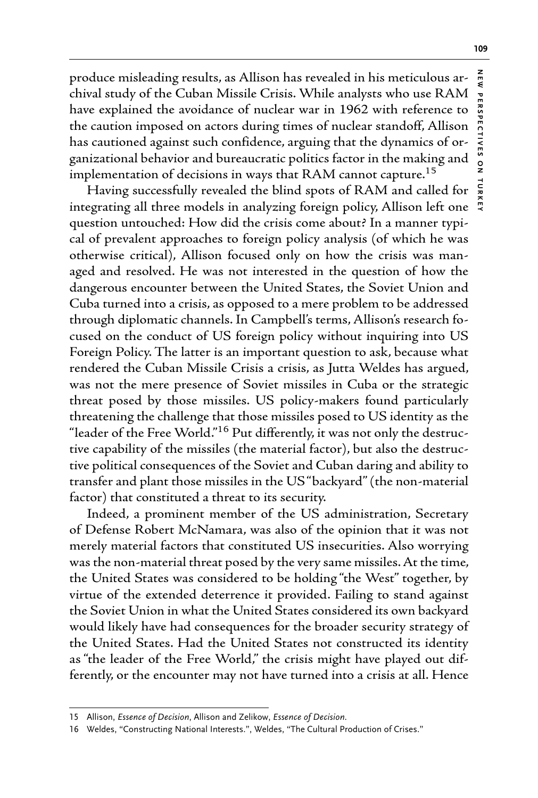**NEW PERSPECTIVES ON TURKEY**

 $\frac{0}{2}$ 

PERSPECTIVES

produce misleading results, as Allison has revealed in his meticulous archival study of the Cuban Missile Crisis. While analysts who use RAM have explained the avoidance of nuclear war in 1962 with reference to the caution imposed on actors during times of nuclear standoff, Allison has cautioned against such confidence, arguing that the dynamics of organizational behavior and bureaucratic politics factor in the making and implementation of decisions in ways that RAM cannot capture.<sup>15</sup>

Having successfully revealed the blind spots of RAM and called for integrating all three models in analyzing foreign policy, Allison left one question untouched: How did the crisis come about? In a manner typical of prevalent approaches to foreign policy analysis (of which he was otherwise critical), Allison focused only on how the crisis was managed and resolved. He was not interested in the question of how the dangerous encounter between the United States, the Soviet Union and Cuba turned into a crisis, as opposed to a mere problem to be addressed through diplomatic channels. In Campbell's terms, Allison's research focused on the conduct of US foreign policy without inquiring into US Foreign Policy. The latter is an important question to ask, because what rendered the Cuban Missile Crisis a crisis, as Jutta Weldes has argued, was not the mere presence of Soviet missiles in Cuba or the strategic threat posed by those missiles. US policy-makers found particularly threatening the challenge that those missiles posed to US identity as the "leader of the Free World."16 Put differently, it was not only the destructive capability of the missiles (the material factor), but also the destructive political consequences of the Soviet and Cuban daring and ability to transfer and plant those missiles in the US "backyard" (the non-material factor) that constituted a threat to its security.

Indeed, a prominent member of the US administration, Secretary of Defense Robert McNamara, was also of the opinion that it was not merely material factors that constituted US insecurities. Also worrying was the non-material threat posed by the very same missiles. At the time, the United States was considered to be holding "the West" together, by virtue of the extended deterrence it provided. Failing to stand against the Soviet Union in what the United States considered its own backyard would likely have had consequences for the broader security strategy of the United States. Had the United States not constructed its identity as "the leader of the Free World," the crisis might have played out differently, or the encounter may not have turned into a crisis at all. Hence

<sup>15</sup> Allison, *Essence of Decision*, Allison and Zelikow, *Essence of Decision*.

<sup>16</sup> Weldes, "Constructing National Interests.", Weldes, "The Cultural Production of Crises."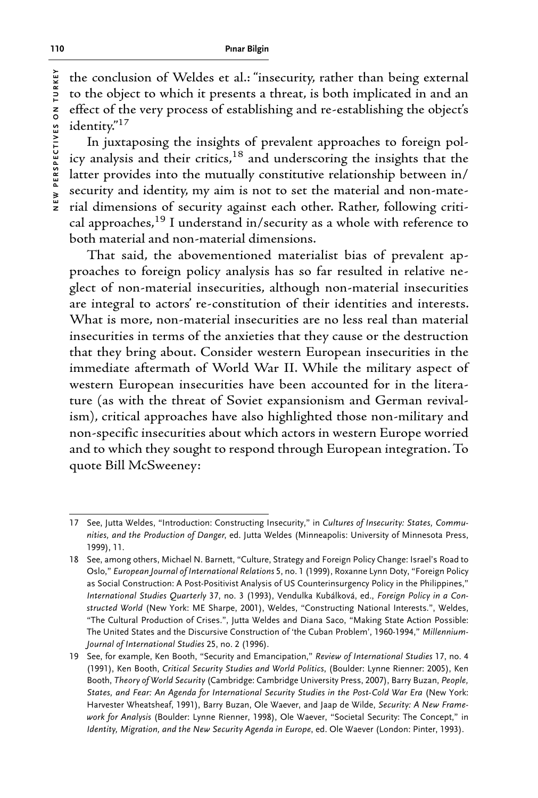the conclusion of Weldes et al.: "insecurity, rather than being external to the object to which it presents a threat, is both implicated in and an effect of the very process of establishing and re-establishing the object's identity."<sup>17</sup>

In juxtaposing the insights of prevalent approaches to foreign policy analysis and their critics,<sup>18</sup> and underscoring the insights that the latter provides into the mutually constitutive relationship between in/ security and identity, my aim is not to set the material and non-material dimensions of security against each other. Rather, following critical approaches,<sup>19</sup> I understand in/security as a whole with reference to both material and non-material dimensions.

That said, the abovementioned materialist bias of prevalent approaches to foreign policy analysis has so far resulted in relative neglect of non-material insecurities, although non-material insecurities are integral to actors' re-constitution of their identities and interests. What is more, non-material insecurities are no less real than material insecurities in terms of the anxieties that they cause or the destruction that they bring about. Consider western European insecurities in the immediate aftermath of World War II. While the military aspect of western European insecurities have been accounted for in the literature (as with the threat of Soviet expansionism and German revivalism), critical approaches have also highlighted those non-military and non-specific insecurities about which actors in western Europe worried and to which they sought to respond through European integration. To quote Bill McSweeney:

**NEW PERSPECTIVES ON TURKEY**

NEW PERSPECTIVES ON TURKEY

<sup>17</sup> See, Jutta Weldes, "Introduction: Constructing Insecurity," in *Cultures of Insecurity: States, Communities, and the Production of Danger*, ed. Jutta Weldes (Minneapolis: University of Minnesota Press, 1999), 11.

<sup>18</sup> See, among others, Michael N. Barnett, "Culture, Strategy and Foreign Policy Change: Israel's Road to Oslo," *European Journal of International Relations* 5, no. 1 (1999), Roxanne Lynn Doty, "Foreign Policy as Social Construction: A Post-Positivist Analysis of US Counterinsurgency Policy in the Philippines," *International Studies Quarterly* 37, no. 3 (1993), Vendulka Kubálková, ed., *Foreign Policy in a Constructed World* (New York: ME Sharpe, 2001), Weldes, "Constructing National Interests.", Weldes, "The Cultural Production of Crises.", Jutta Weldes and Diana Saco, "Making State Action Possible: The United States and the Discursive Construction of 'the Cuban Problem', 1960-1994," *Millennium-Journal of International Studies* 25, no. 2 (1996).

<sup>19</sup> See, for example, Ken Booth, "Security and Emancipation," *Review of International Studies* 17, no. 4 (1991), Ken Booth, *Critical Security Studies and World Politics*, (Boulder: Lynne Rienner: 2005), Ken Booth, *Theory of World Security* (Cambridge: Cambridge University Press, 2007), Barry Buzan, *People, States, and Fear: An Agenda for International Security Studies in the Post-Cold War Era* (New York: Harvester Wheatsheaf, 1991), Barry Buzan, Ole Waever, and Jaap de Wilde, *Security: A New Framework for Analysis* (Boulder: Lynne Rienner, 1998), Ole Waever, "Societal Security: The Concept," in *Identity, Migration, and the New Security Agenda in Europe*, ed. Ole Waever (London: Pinter, 1993).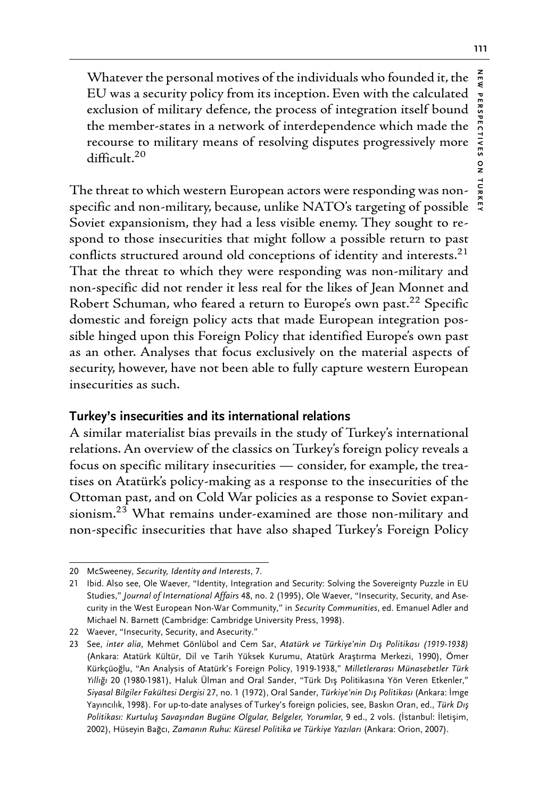Whatever the personal motives of the individuals who founded it, the EU was a security policy from its inception. Even with the calculated exclusion of military defence, the process of integration itself bound the member-states in a network of interdependence which made the recourse to military means of resolving disputes progressively more difficult.<sup>20</sup>

The threat to which western European actors were responding was nonspecific and non-military, because, unlike NATO's targeting of possible Soviet expansionism, they had a less visible enemy. They sought to respond to those insecurities that might follow a possible return to past conflicts structured around old conceptions of identity and interests.<sup>21</sup> That the threat to which they were responding was non-military and non-specific did not render it less real for the likes of Jean Monnet and Robert Schuman, who feared a return to Europe's own past.<sup>22</sup> Specific domestic and foreign policy acts that made European integration possible hinged upon this Foreign Policy that identified Europe's own past as an other. Analyses that focus exclusively on the material aspects of security, however, have not been able to fully capture western European insecurities as such.

## **Turkey's insecurities and its international relations**

A similar materialist bias prevails in the study of Turkey's international relations. An overview of the classics on Turkey's foreign policy reveals a focus on specific military insecurities — consider, for example, the treatises on Atatürk's policy-making as a response to the insecurities of the Ottoman past, and on Cold War policies as a response to Soviet expansionism.<sup>23</sup> What remains under-examined are those non-military and non-specific insecurities that have also shaped Turkey's Foreign Policy

<sup>20</sup> McSweeney, *Security, Identity and Interests*, 7.

<sup>21</sup> Ibid. Also see, Ole Waever, "Identity, Integration and Security: Solving the Sovereignty Puzzle in EU Studies," *Journal of International Affairs* 48, no. 2 (1995), Ole Waever, "Insecurity, Security, and Asecurity in the West European Non-War Community," in *Security Communities*, ed. Emanuel Adler and Michael N. Barnett (Cambridge: Cambridge University Press, 1998).

<sup>22</sup> Waever, "Insecurity, Security, and Asecurity."

<sup>23</sup> See, *inter alia*, Mehmet Gönlübol and Cem Sar, *Atatürk ve Türkiye'nin Dış Politikası (1919-1938)* (Ankara: Atatürk Kültür, Dil ve Tarih Yüksek Kurumu, Atatürk Araştırma Merkezi, 1990), Ömer Kürkçüoğlu, "An Analysis of Atatürk's Foreign Policy, 1919-1938," *Milletlerarası Münasebetler Türk Yıllığı* 20 (1980-1981), Haluk Ülman and Oral Sander, "Türk Dış Politikasına Yön Veren Etkenler," *Siyasal Bilgiler Fakültesi Dergisi* 27, no. 1 (1972), Oral Sander, *Türkiye'nin Dış Politikası* (Ankara: İmge Yayıncılık, 1998). For up-to-date analyses of Turkey's foreign policies, see, Baskın Oran, ed., *Türk Dış Politikası: Kurtuluş Savaşından Bugüne Olgular, Belgeler, Yorumlar*, 9 ed., 2 vols. (İstanbul: İletişim, 2002), Hüseyin Bağcı, *Zamanın Ruhu: Küresel Politika ve Türkiye Yazıları* (Ankara: Orion, 2007).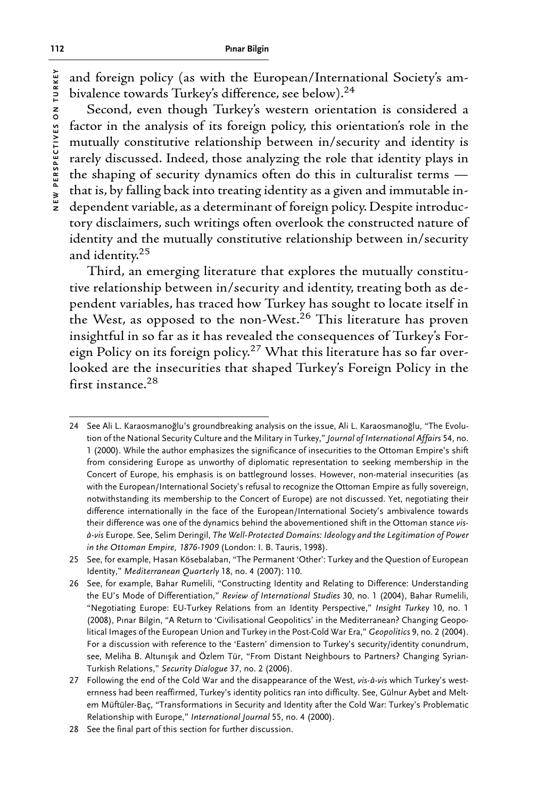and foreign policy (as with the European/International Society's ambivalence towards Turkey's difference, see below).<sup>24</sup>

Second, even though Turkey's western orientation is considered a factor in the analysis of its foreign policy, this orientation's role in the mutually constitutive relationship between in/security and identity is rarely discussed. Indeed, those analyzing the role that identity plays in the shaping of security dynamics often do this in culturalist terms that is, by falling back into treating identity as a given and immutable independent variable, as a determinant of foreign policy. Despite introductory disclaimers, such writings often overlook the constructed nature of identity and the mutually constitutive relationship between in/security and identity.<sup>25</sup>

Third, an emerging literature that explores the mutually constitutive relationship between in/security and identity, treating both as dependent variables, has traced how Turkey has sought to locate itself in the West, as opposed to the non-West.<sup>26</sup> This literature has proven insightful in so far as it has revealed the consequences of Turkey's Foreign Policy on its foreign policy.<sup>27</sup> What this literature has so far overlooked are the insecurities that shaped Turkey's Foreign Policy in the first instance.<sup>28</sup>

<sup>24</sup> See Ali L. Karaosmanoğlu's groundbreaking analysis on the issue, Ali L. Karaosmanoğlu, "The Evolution of the National Security Culture and the Military in Turkey," *Journal of International Affairs* 54, no. 1 (2000). While the author emphasizes the significance of insecurities to the Ottoman Empire's shift from considering Europe as unworthy of diplomatic representation to seeking membership in the Concert of Europe, his emphasis is on battleground losses. However, non-material insecurities (as with the European/International Society's refusal to recognize the Ottoman Empire as fully sovereign, notwithstanding its membership to the Concert of Europe) are not discussed. Yet, negotiating their difference internationally in the face of the European/International Society's ambivalence towards their difference was one of the dynamics behind the abovementioned shift in the Ottoman stance *visà-vis* Europe. See, Selim Deringil, *The Well-Protected Domains: Ideology and the Legitimation of Power in the Ottoman Empire, 1876-1909* (London: I. B. Tauris, 1998).

<sup>25</sup> See, for example, Hasan Kösebalaban, "The Permanent 'Other': Turkey and the Question of European Identity," *Mediterranean Quarterly* 18, no. 4 (2007): 110.

<sup>26</sup> See, for example, Bahar Rumelili, "Constructing Identity and Relating to Difference: Understanding the EU's Mode of Differentiation," *Review of International Studies* 30, no. 1 (2004), Bahar Rumelili, "Negotiating Europe: EU-Turkey Relations from an Identity Perspective," *Insight Turkey* 10, no. 1 (2008), Pınar Bilgin, "A Return to 'Civilisational Geopolitics' in the Mediterranean? Changing Geopolitical Images of the European Union and Turkey in the Post-Cold War Era," *Geopolitics* 9, no. 2 (2004). For a discussion with reference to the 'Eastern' dimension to Turkey's security/identity conundrum, see, Meliha B. Altunışık and Özlem Tür, "From Distant Neighbours to Partners? Changing Syrian-Turkish Relations," *Security Dialogue* 37, no. 2 (2006).

<sup>27</sup> Following the end of the Cold War and the disappearance of the West, *vis-à-vis* which Turkey's westernness had been reaffirmed, Turkey's identity politics ran into difficulty. See, Gülnur Aybet and Meltem Müftüler-Baç, "Transformations in Security and Identity after the Cold War: Turkey's Problematic Relationship with Europe," *International Journal* 55, no. 4 (2000).

<sup>28</sup> See the final part of this section for further discussion.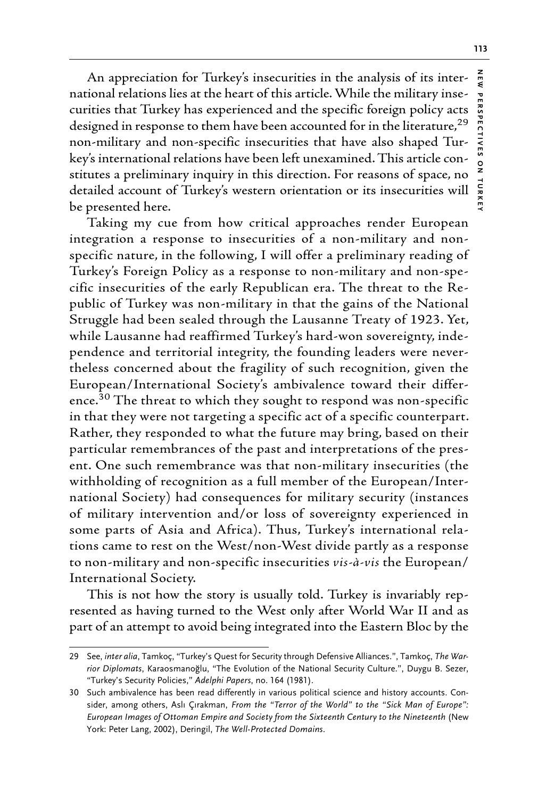An appreciation for Turkey's insecurities in the analysis of its international relations lies at the heart of this article. While the military insecurities that Turkey has experienced and the specific foreign policy acts designed in response to them have been accounted for in the literature,<sup>29</sup> non-military and non-specific insecurities that have also shaped Turkey's international relations have been left unexamined. This article constitutes a preliminary inquiry in this direction. For reasons of space, no detailed account of Turkey's western orientation or its insecurities will be presented here.

Taking my cue from how critical approaches render European integration a response to insecurities of a non-military and nonspecific nature, in the following, I will offer a preliminary reading of Turkey's Foreign Policy as a response to non-military and non-specific insecurities of the early Republican era. The threat to the Republic of Turkey was non-military in that the gains of the National Struggle had been sealed through the Lausanne Treaty of 1923. Yet, while Lausanne had reaffirmed Turkey's hard-won sovereignty, independence and territorial integrity, the founding leaders were nevertheless concerned about the fragility of such recognition, given the European/International Society's ambivalence toward their difference.<sup>30</sup> The threat to which they sought to respond was non-specific in that they were not targeting a specific act of a specific counterpart. Rather, they responded to what the future may bring, based on their particular remembrances of the past and interpretations of the present. One such remembrance was that non-military insecurities (the withholding of recognition as a full member of the European/International Society) had consequences for military security (instances of military intervention and/or loss of sovereignty experienced in some parts of Asia and Africa). Thus, Turkey's international relations came to rest on the West/non-West divide partly as a response to non-military and non-specific insecurities *vis-à-vis* the European/ International Society.

This is not how the story is usually told. Turkey is invariably represented as having turned to the West only after World War II and as part of an attempt to avoid being integrated into the Eastern Bloc by the

<sup>29</sup> See, *inter alia*, Tamkoç, "Turkey's Quest for Security through Defensive Alliances.", Tamkoç, *The Warrior Diplomats*, Karaosmanoğlu, "The Evolution of the National Security Culture.", Duygu B. Sezer, "Turkey's Security Policies," *Adelphi Papers*, no. 164 (1981).

<sup>30</sup> Such ambivalence has been read differently in various political science and history accounts. Consider, among others, Aslı Çırakman, *From the "Terror of the World" to the "Sick Man of Europe": European Images of Ottoman Empire and Society from the Sixteenth Century to the Nineteenth* (New York: Peter Lang, 2002), Deringil, *The Well-Protected Domains*.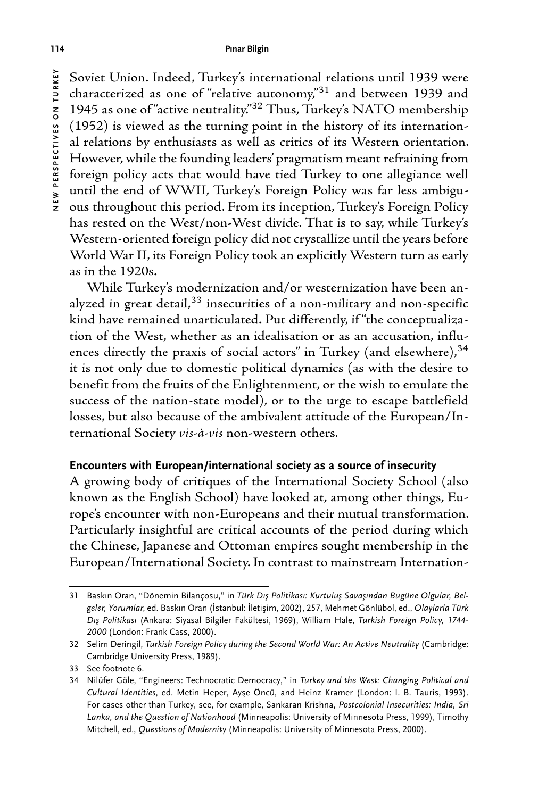**114 Pınar Bilgin**

Soviet Union. Indeed, Turkey's international relations until 1939 were characterized as one of "relative autonomy,"<sup>31</sup> and between 1939 and 1945 as one of "active neutrality."<sup>32</sup> Thus, Turkey's NATO membership (1952) is viewed as the turning point in the history of its international relations by enthusiasts as well as critics of its Western orientation. However, while the founding leaders' pragmatism meant refraining from foreign policy acts that would have tied Turkey to one allegiance well until the end of WWII, Turkey's Foreign Policy was far less ambiguous throughout this period. From its inception, Turkey's Foreign Policy has rested on the West/non-West divide. That is to say, while Turkey's Western-oriented foreign policy did not crystallize until the years before World War II, its Foreign Policy took an explicitly Western turn as early as in the 1920s.

While Turkey's modernization and/or westernization have been analvzed in great detail,<sup>33</sup> insecurities of a non-military and non-specific kind have remained unarticulated. Put differently, if "the conceptualization of the West, whether as an idealisation or as an accusation, influences directly the praxis of social actors" in Turkey (and elsewhere),  $34$ it is not only due to domestic political dynamics (as with the desire to benefit from the fruits of the Enlightenment, or the wish to emulate the success of the nation-state model), or to the urge to escape battlefield losses, but also because of the ambivalent attitude of the European/International Society *vis-à-vis* non-western others*.* 

#### **Encounters with European/international society as a source of insecurity**

A growing body of critiques of the International Society School (also known as the English School) have looked at, among other things, Europe's encounter with non-Europeans and their mutual transformation. Particularly insightful are critical accounts of the period during which the Chinese, Japanese and Ottoman empires sought membership in the European/International Society. In contrast to mainstream Internation-

**NEW PERSPECTIVES ON TURKEY**

NEW PERSPECTIVES ON TURKEY

<sup>31</sup> Baskın Oran, "Dönemin Bilançosu," in *Türk Dış Politikası: Kurtuluş Savaşından Bugüne Olgular, Belgeler, Yorumlar*, ed. Baskın Oran (İstanbul: İletişim, 2002), 257, Mehmet Gönlübol, ed., *Olaylarla Türk Dış Politikası* (Ankara: Siyasal Bilgiler Fakültesi, 1969), William Hale, *Turkish Foreign Policy, 1744- 2000* (London: Frank Cass, 2000).

<sup>32</sup> Selim Deringil, *Turkish Foreign Policy during the Second World War: An Active Neutrality* (Cambridge: Cambridge University Press, 1989).

<sup>33</sup> See footnote 6.

<sup>34</sup> Nilüfer Göle, "Engineers: Technocratic Democracy," in *Turkey and the West: Changing Political and Cultural Identities*, ed. Metin Heper, Ayşe Öncü, and Heinz Kramer (London: I. B. Tauris, 1993). For cases other than Turkey, see, for example, Sankaran Krishna, *Postcolonial Insecurities: India, Sri Lanka, and the Question of Nationhood* (Minneapolis: University of Minnesota Press, 1999), Timothy Mitchell, ed., *Questions of Modernity* (Minneapolis: University of Minnesota Press, 2000).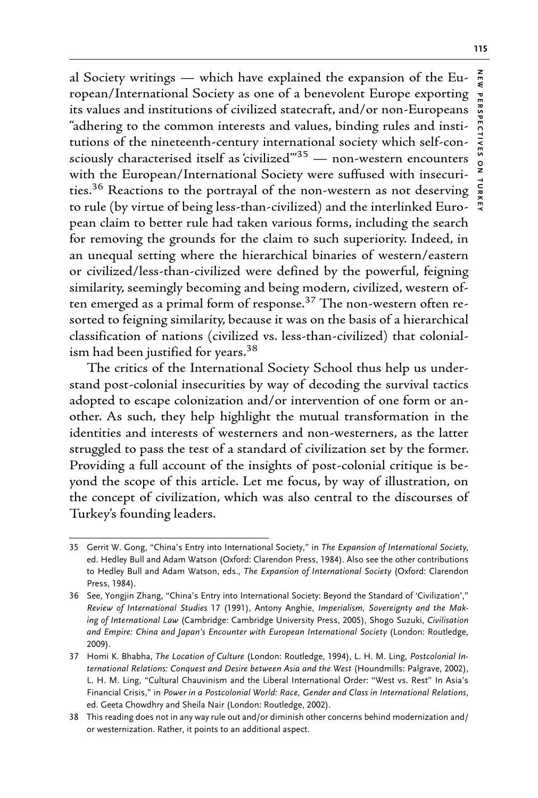al Society writings — which have explained the expansion of the European/International Society as one of a benevolent Europe exporting its values and institutions of civilized statecraft, and/or non-Europeans "adhering to the common interests and values, binding rules and institutions of the nineteenth-century international society which self-consciously characterised itself as 'civilized'" $^{35}$  — non-western encounters with the European/International Society were suffused with insecurities. $36$  Reactions to the portrayal of the non-western as not deserving to rule (by virtue of being less-than-civilized) and the interlinked European claim to better rule had taken various forms, including the search for removing the grounds for the claim to such superiority. Indeed, in an unequal setting where the hierarchical binaries of western/eastern or civilized/less-than-civilized were defined by the powerful, feigning similarity, seemingly becoming and being modern, civilized, western often emerged as a primal form of response.37 The non-western often resorted to feigning similarity, because it was on the basis of a hierarchical classification of nations (civilized vs. less-than-civilized) that colonialism had been justified for years.<sup>38</sup>

The critics of the International Society School thus help us understand post-colonial insecurities by way of decoding the survival tactics adopted to escape colonization and/or intervention of one form or another. As such, they help highlight the mutual transformation in the identities and interests of westerners and non-westerners, as the latter struggled to pass the test of a standard of civilization set by the former. Providing a full account of the insights of post-colonial critique is beyond the scope of this article. Let me focus, by way of illustration, on the concept of civilization, which was also central to the discourses of Turkey's founding leaders.

**NEW PERSPECTIVES ON TURKEY**

<sup>35</sup> Gerrit W. Gong, "China's Entry into International Society," in *The Expansion of International Society*, ed. Hedley Bull and Adam Watson (Oxford: Clarendon Press, 1984). Also see the other contributions to Hedley Bull and Adam Watson, eds., *The Expansion of International Society* (Oxford: Clarendon Press, 1984).

<sup>36</sup> See, Yongjin Zhang, "China's Entry into International Society: Beyond the Standard of 'Civilization'," *Review of International Studies* 17 (1991), Antony Anghie, *Imperialism, Sovereignty and the Making of International Law* (Cambridge: Cambridge University Press, 2005), Shogo Suzuki, *Civilisation and Empire: China and Japan's Encounter with European International Society* (London: Routledge, 2009).

<sup>37</sup> Homi K. Bhabha, *The Location of Culture* (London: Routledge, 1994), L. H. M. Ling, *Postcolonial International Relations: Conquest and Desire between Asia and the West* (Houndmills: Palgrave, 2002), L. H. M. Ling, "Cultural Chauvinism and the Liberal International Order: "West vs. Rest" In Asia's Financial Crisis," in *Power in a Postcolonial World: Race, Gender and Class in International Relations*, ed. Geeta Chowdhry and Sheila Nair (London: Routledge, 2002).

<sup>38</sup> This reading does not in any way rule out and/or diminish other concerns behind modernization and/ or westernization. Rather, it points to an additional aspect.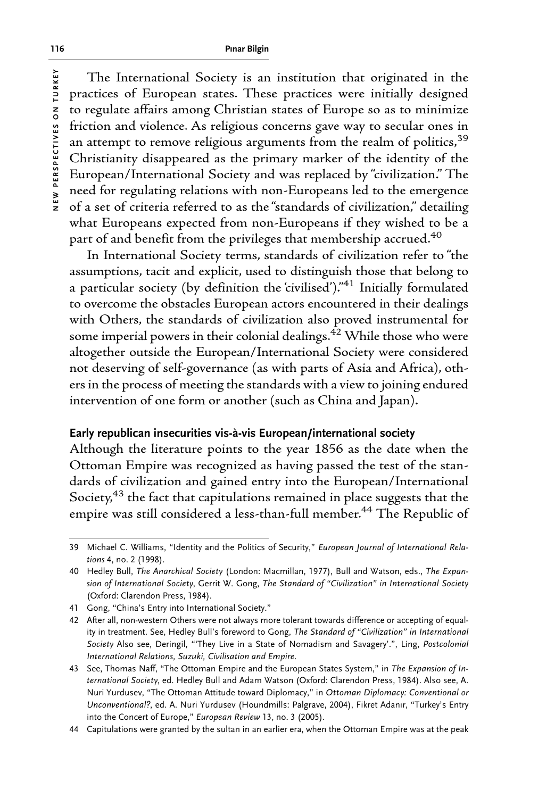**116 Pınar Bilgin**

The International Society is an institution that originated in the practices of European states. These practices were initially designed to regulate affairs among Christian states of Europe so as to minimize friction and violence. As religious concerns gave way to secular ones in an attempt to remove religious arguments from the realm of politics,<sup>39</sup> Christianity disappeared as the primary marker of the identity of the European/International Society and was replaced by "civilization." The need for regulating relations with non-Europeans led to the emergence of a set of criteria referred to as the "standards of civilization," detailing what Europeans expected from non-Europeans if they wished to be a part of and benefit from the privileges that membership accrued.<sup>40</sup>

In International Society terms, standards of civilization refer to "the assumptions, tacit and explicit, used to distinguish those that belong to a particular society (by definition the 'civilised')."<sup>41</sup> Initially formulated to overcome the obstacles European actors encountered in their dealings with Others, the standards of civilization also proved instrumental for some imperial powers in their colonial dealings. $42$  While those who were altogether outside the European/International Society were considered not deserving of self-governance (as with parts of Asia and Africa), others in the process of meeting the standards with a view to joining endured intervention of one form or another (such as China and Japan).

#### **Early republican insecurities vis-à-vis European/international society**

Although the literature points to the year 1856 as the date when the Ottoman Empire was recognized as having passed the test of the standards of civilization and gained entry into the European/International Society, $43$  the fact that capitulations remained in place suggests that the empire was still considered a less-than-full member.<sup>44</sup> The Republic of

<sup>39</sup> Michael C. Williams, "Identity and the Politics of Security," *European Journal of International Relations* 4, no. 2 (1998).

<sup>40</sup> Hedley Bull, *The Anarchical Society* (London: Macmillan, 1977), Bull and Watson, eds., *The Expansion of International Society*, Gerrit W. Gong, *The Standard of "Civilization" in International Society* (Oxford: Clarendon Press, 1984).

<sup>41</sup> Gong, "China's Entry into International Society."

<sup>42</sup> After all, non-western Others were not always more tolerant towards difference or accepting of equality in treatment. See, Hedley Bull's foreword to Gong, *The Standard of "Civilization" in International Society* Also see, Deringil, "'They Live in a State of Nomadism and Savagery'.", Ling, *Postcolonial International Relations, Suzuki, Civilisation and Empire*.

<sup>43</sup> See, Thomas Naff, "The Ottoman Empire and the European States System," in *The Expansion of International Society*, ed. Hedley Bull and Adam Watson (Oxford: Clarendon Press, 1984). Also see, A. Nuri Yurdusev, "The Ottoman Attitude toward Diplomacy," in *Ottoman Diplomacy: Conventional or Unconventional?*, ed. A. Nuri Yurdusev (Houndmills: Palgrave, 2004), Fikret Adanır, "Turkey's Entry into the Concert of Europe," *European Review* 13, no. 3 (2005).

<sup>44</sup> Capitulations were granted by the sultan in an earlier era, when the Ottoman Empire was at the peak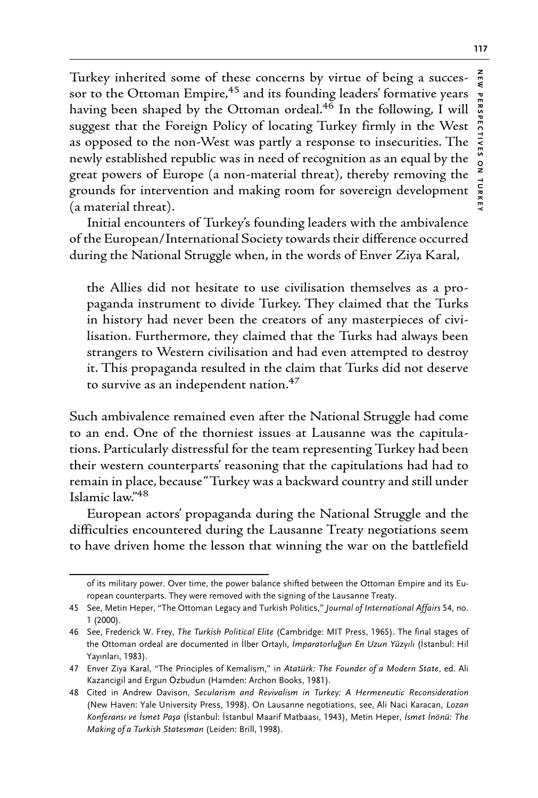Turkey inherited some of these concerns by virtue of being a successor to the Ottoman Empire, $^{45}$  and its founding leaders' formative years having been shaped by the Ottoman ordeal. $^{4\bar{6}}$  In the following, I will suggest that the Foreign Policy of locating Turkey firmly in the West as opposed to the non-West was partly a response to insecurities. The newly established republic was in need of recognition as an equal by the great powers of Europe (a non-material threat), thereby removing the grounds for intervention and making room for sovereign development (a material threat).

Initial encounters of Turkey's founding leaders with the ambivalence of the European/International Society towards their difference occurred during the National Struggle when, in the words of Enver Ziya Karal,

the Allies did not hesitate to use civilisation themselves as a propaganda instrument to divide Turkey. They claimed that the Turks in history had never been the creators of any masterpieces of civilisation. Furthermore, they claimed that the Turks had always been strangers to Western civilisation and had even attempted to destroy it. This propaganda resulted in the claim that Turks did not deserve to survive as an independent nation.<sup>47</sup>

Such ambivalence remained even after the National Struggle had come to an end. One of the thorniest issues at Lausanne was the capitulations. Particularly distressful for the team representing Turkey had been their western counterparts' reasoning that the capitulations had had to remain in place, because "Turkey was a backward country and still under Islamic law."<sup>48</sup>

European actors' propaganda during the National Struggle and the difficulties encountered during the Lausanne Treaty negotiations seem to have driven home the lesson that winning the war on the battlefield

**NEW PERSPECTIVES ON TURKEY**

of its military power. Over time, the power balance shifted between the Ottoman Empire and its European counterparts. They were removed with the signing of the Lausanne Treaty.

<sup>45</sup> See, Metin Heper, "The Ottoman Legacy and Turkish Politics," *Journal of International Affairs* 54, no. 1 (2000).

<sup>46</sup> See, Frederick W. Frey, *The Turkish Political Elite* (Cambridge: MIT Press, 1965). The final stages of the Ottoman ordeal are documented in İlber Ortaylı, *İmparatorluğun En Uzun Yüzyılı* (İstanbul: Hil Yayınları, 1983).

<sup>47</sup> Enver Ziya Karal, "The Principles of Kemalism," in *Atatürk: The Founder of a Modern State*, ed. Ali Kazancigil and Ergun Özbudun (Hamden: Archon Books, 1981).

<sup>48</sup> Cited in Andrew Davison, *Secularism and Revivalism in Turkey: A Hermeneutic Reconsideration* (New Haven: Yale University Press, 1998). On Lausanne negotiations, see, Ali Naci Karacan, *Lozan Konferansı ve İsmet Paşa* (İstanbul: İstanbul Maarif Matbaası, 1943), Metin Heper, *İsmet İnönü: The Making of a Turkish Statesman* (Leiden: Brill, 1998).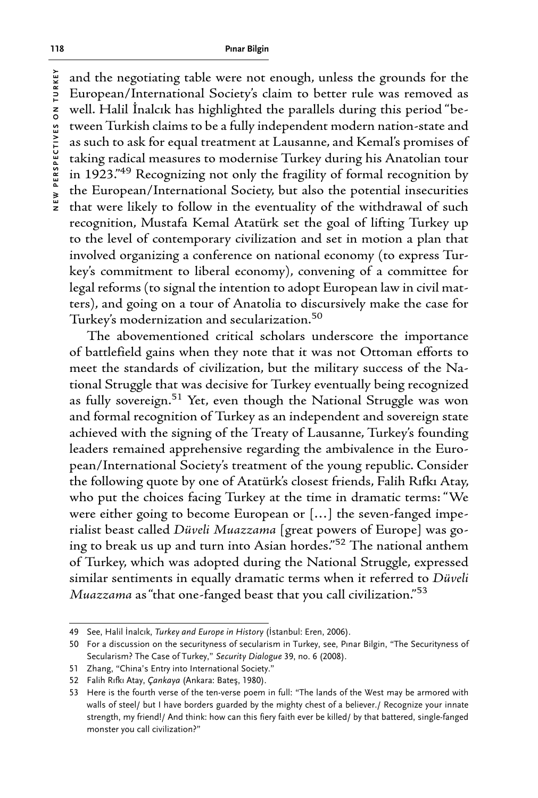NEW PERSPECTIVES ON TURKEY **NEW PERSPECTIVES ON TURKEY**

and the negotiating table were not enough, unless the grounds for the European/International Society's claim to better rule was removed as well. Halil İnalcık has highlighted the parallels during this period "between Turkish claims to be a fully independent modern nation-state and as such to ask for equal treatment at Lausanne, and Kemal's promises of taking radical measures to modernise Turkey during his Anatolian tour in 1923."<sup>49</sup> Recognizing not only the fragility of formal recognition by the European/International Society, but also the potential insecurities that were likely to follow in the eventuality of the withdrawal of such recognition, Mustafa Kemal Atatürk set the goal of lifting Turkey up to the level of contemporary civilization and set in motion a plan that involved organizing a conference on national economy (to express Turkey's commitment to liberal economy), convening of a committee for legal reforms (to signal the intention to adopt European law in civil matters), and going on a tour of Anatolia to discursively make the case for Turkey's modernization and secularization.<sup>50</sup>

The abovementioned critical scholars underscore the importance of battlefield gains when they note that it was not Ottoman efforts to meet the standards of civilization, but the military success of the National Struggle that was decisive for Turkey eventually being recognized as fully sovereign.<sup>51</sup> Yet, even though the National Struggle was won and formal recognition of Turkey as an independent and sovereign state achieved with the signing of the Treaty of Lausanne, Turkey's founding leaders remained apprehensive regarding the ambivalence in the European/International Society's treatment of the young republic. Consider the following quote by one of Atatürk's closest friends, Falih Rıfkı Atay, who put the choices facing Turkey at the time in dramatic terms: "We were either going to become European or […] the seven-fanged imperialist beast called *Düveli Muazzama* [great powers of Europe] was going to break us up and turn into Asian hordes."<sup>52</sup> The national anthem of Turkey, which was adopted during the National Struggle, expressed similar sentiments in equally dramatic terms when it referred to *Düveli Muazzama* as "that one-fanged beast that you call civilization."<sup>53</sup>

<sup>49</sup> See, Halil İnalcık, *Turkey and Europe in History* (İstanbul: Eren, 2006).

<sup>50</sup> For a discussion on the securityness of secularism in Turkey, see, Pınar Bilgin, "The Securityness of Secularism? The Case of Turkey," *Security Dialogue* 39, no. 6 (2008).

<sup>51</sup> Zhang, "China's Entry into International Society."

<sup>52</sup> Falih Rıfkı Atay, *Çankaya* (Ankara: Bateş, 1980).

<sup>53</sup> Here is the fourth verse of the ten-verse poem in full: "The lands of the West may be armored with walls of steel/ but I have borders guarded by the mighty chest of a believer./ Recognize your innate strength, my friend!/ And think: how can this fiery faith ever be killed/ by that battered, single-fanged monster you call civilization?"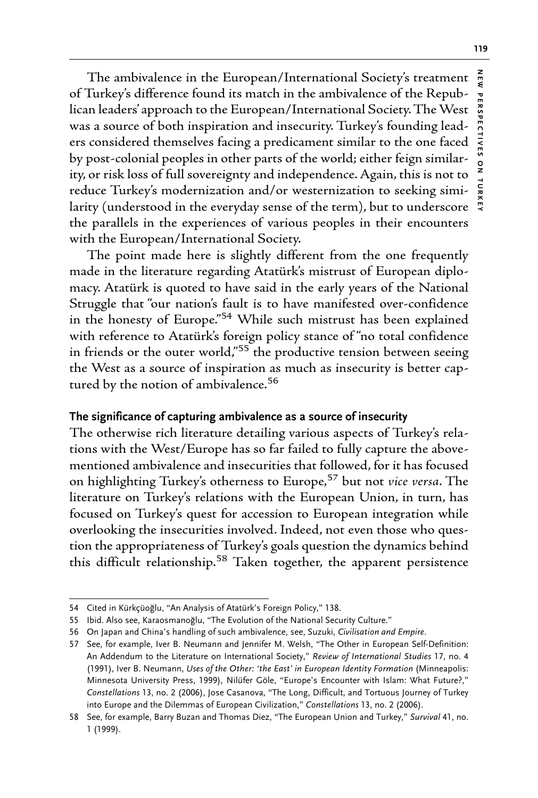The ambivalence in the European/International Society's treatment of Turkey's difference found its match in the ambivalence of the Republican leaders' approach to the European/International Society. The West was a source of both inspiration and insecurity. Turkey's founding leaders considered themselves facing a predicament similar to the one faced by post-colonial peoples in other parts of the world; either feign similarity, or risk loss of full sovereignty and independence. Again, this is not to reduce Turkey's modernization and/or westernization to seeking similarity (understood in the everyday sense of the term), but to underscore the parallels in the experiences of various peoples in their encounters with the European/International Society.

The point made here is slightly different from the one frequently made in the literature regarding Atatürk's mistrust of European diplomacy. Atatürk is quoted to have said in the early years of the National Struggle that "our nation's fault is to have manifested over-confidence in the honesty of Europe."<sup>54</sup> While such mistrust has been explained with reference to Atatürk's foreign policy stance of "no total confidence in friends or the outer world,"<sup>55</sup> the productive tension between seeing the West as a source of inspiration as much as insecurity is better captured by the notion of ambivalence.<sup>56</sup>

## **The significance of capturing ambivalence as a source of insecurity**

The otherwise rich literature detailing various aspects of Turkey's relations with the West/Europe has so far failed to fully capture the abovementioned ambivalence and insecurities that followed, for it has focused on highlighting Turkey's otherness to Europe,<sup>57</sup> but not *vice versa*. The literature on Turkey's relations with the European Union, in turn, has focused on Turkey's quest for accession to European integration while overlooking the insecurities involved. Indeed, not even those who question the appropriateness of Turkey's goals question the dynamics behind this difficult relationship.<sup>58</sup> Taken together, the apparent persistence

**NEW PERSPECTIVES ON TURKEY**

PERSPECTIVES

<sup>54</sup> Cited in Kürkçüoğlu, "An Analysis of Atatürk's Foreign Policy," 138.

<sup>55</sup> Ibid. Also see, Karaosmanoğlu, "The Evolution of the National Security Culture."

<sup>56</sup> On Japan and China's handling of such ambivalence, see, Suzuki, *Civilisation and Empire*.

<sup>57</sup> See, for example, Iver B. Neumann and Jennifer M. Welsh, "The Other in European Self-Definition: An Addendum to the Literature on International Society," *Review of International Studies* 17, no. 4 (1991), Iver B. Neumann, *Uses of the Other: 'the East' in European Identity Formation* (Minneapolis: Minnesota University Press, 1999), Nilüfer Göle, "Europe's Encounter with Islam: What Future?," *Constellations* 13, no. 2 (2006), Jose Casanova, "The Long, Difficult, and Tortuous Journey of Turkey into Europe and the Dilemmas of European Civilization," *Constellations* 13, no. 2 (2006).

<sup>58</sup> See, for example, Barry Buzan and Thomas Diez, "The European Union and Turkey," *Survival* 41, no. 1 (1999).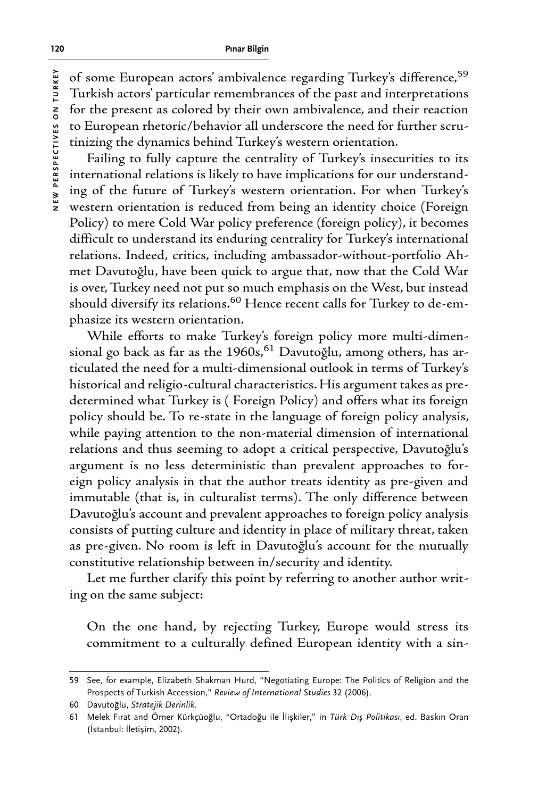of some European actors' ambivalence regarding Turkey's difference,<sup>59</sup> Turkish actors' particular remembrances of the past and interpretations for the present as colored by their own ambivalence, and their reaction to European rhetoric/behavior all underscore the need for further scrutinizing the dynamics behind Turkey's western orientation.

Failing to fully capture the centrality of Turkey's insecurities to its international relations is likely to have implications for our understanding of the future of Turkey's western orientation. For when Turkey's western orientation is reduced from being an identity choice (Foreign Policy) to mere Cold War policy preference (foreign policy), it becomes difficult to understand its enduring centrality for Turkey's international relations. Indeed, critics, including ambassador-without-portfolio Ahmet Davutoğlu, have been quick to argue that, now that the Cold War is over, Turkey need not put so much emphasis on the West, but instead should diversify its relations.<sup>60</sup> Hence recent calls for Turkey to de-emphasize its western orientation.

While efforts to make Turkey's foreign policy more multi-dimensional go back as far as the  $1960s$ , <sup>61</sup> Davutoğlu, among others, has articulated the need for a multi-dimensional outlook in terms of Turkey's historical and religio-cultural characteristics. His argument takes as predetermined what Turkey is ( Foreign Policy) and offers what its foreign policy should be. To re-state in the language of foreign policy analysis, while paying attention to the non-material dimension of international relations and thus seeming to adopt a critical perspective, Davutoğlu's argument is no less deterministic than prevalent approaches to foreign policy analysis in that the author treats identity as pre-given and immutable (that is, in culturalist terms). The only difference between Davutoğlu's account and prevalent approaches to foreign policy analysis consists of putting culture and identity in place of military threat, taken as pre-given. No room is left in Davutoğlu's account for the mutually constitutive relationship between in/security and identity.

Let me further clarify this point by referring to another author writing on the same subject:

On the one hand, by rejecting Turkey, Europe would stress its commitment to a culturally defined European identity with a sin-

<sup>59</sup> See, for example, Elizabeth Shakman Hurd, "Negotiating Europe: The Politics of Religion and the Prospects of Turkish Accession," *Review of International Studies* 32 (2006).

<sup>60</sup> Davutoğlu, *Stratejik Derinlik*.

<sup>61</sup> Melek Fırat and Ömer Kürkçüoğlu, "Ortadoğu ile İlişkiler," in *Türk Dış Politikası*, ed. Baskın Oran (İstanbul: İletişim, 2002).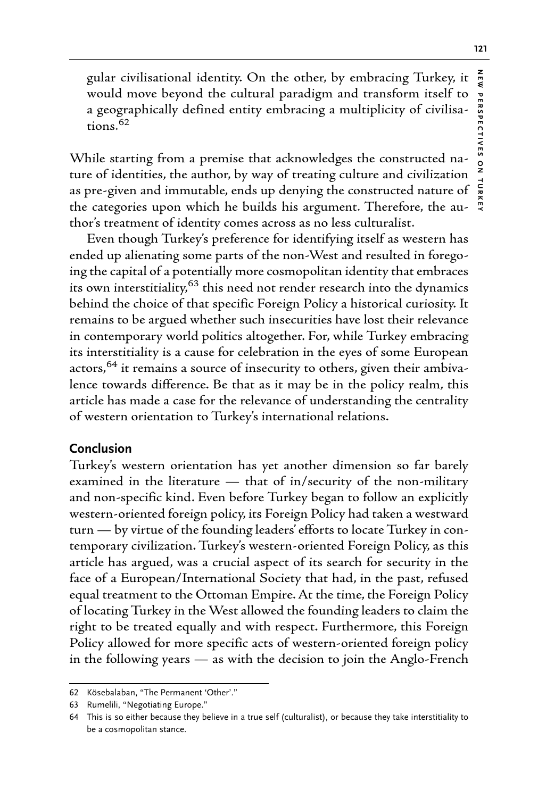gular civilisational identity. On the other, by embracing Turkey, it would move beyond the cultural paradigm and transform itself to a geographically defined entity embracing a multiplicity of civilisations.<sup>62</sup>

While starting from a premise that acknowledges the constructed nature of identities, the author, by way of treating culture and civilization as pre-given and immutable, ends up denying the constructed nature of the categories upon which he builds his argument. Therefore, the author's treatment of identity comes across as no less culturalist.

Even though Turkey's preference for identifying itself as western has ended up alienating some parts of the non-West and resulted in foregoing the capital of a potentially more cosmopolitan identity that embraces its own interstitiality,<sup>63</sup> this need not render research into the dynamics behind the choice of that specific Foreign Policy a historical curiosity. It remains to be argued whether such insecurities have lost their relevance in contemporary world politics altogether. For, while Turkey embracing its interstitiality is a cause for celebration in the eyes of some European actors,<sup>64</sup> it remains a source of insecurity to others, given their ambivalence towards difference. Be that as it may be in the policy realm, this article has made a case for the relevance of understanding the centrality of western orientation to Turkey's international relations.

# **Conclusion**

Turkey's western orientation has yet another dimension so far barely examined in the literature — that of in/security of the non-military and non-specific kind. Even before Turkey began to follow an explicitly western-oriented foreign policy, its Foreign Policy had taken a westward turn — by virtue of the founding leaders' efforts to locate Turkey in contemporary civilization. Turkey's western-oriented Foreign Policy, as this article has argued, was a crucial aspect of its search for security in the face of a European/International Society that had, in the past, refused equal treatment to the Ottoman Empire. At the time, the Foreign Policy of locating Turkey in the West allowed the founding leaders to claim the right to be treated equally and with respect. Furthermore, this Foreign Policy allowed for more specific acts of western-oriented foreign policy in the following years — as with the decision to join the Anglo-French

<sup>62</sup> Kösebalaban, "The Permanent 'Other'."

<sup>63</sup> Rumelili, "Negotiating Europe."

<sup>64</sup> This is so either because they believe in a true self (culturalist), or because they take interstitiality to be a cosmopolitan stance.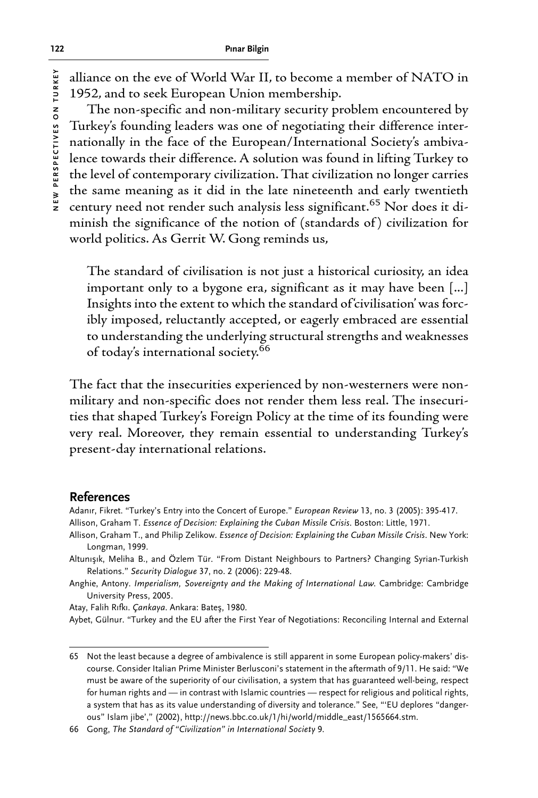NEW PERSPECTIVES ON TURKEY **NEW PERSPECTIVES ON TURKEY** alliance on the eve of World War II, to become a member of NATO in 1952, and to seek European Union membership.

The non-specific and non-military security problem encountered by Turkey's founding leaders was one of negotiating their difference internationally in the face of the European/International Society's ambivalence towards their difference. A solution was found in lifting Turkey to the level of contemporary civilization. That civilization no longer carries the same meaning as it did in the late nineteenth and early twentieth century need not render such analysis less significant.65 Nor does it diminish the significance of the notion of (standards of ) civilization for world politics. As Gerrit W. Gong reminds us,

The standard of civilisation is not just a historical curiosity, an idea important only to a bygone era, significant as it may have been [...] Insights into the extent to which the standard of 'civilisation' was forcibly imposed, reluctantly accepted, or eagerly embraced are essential to understanding the underlying structural strengths and weaknesses of today's international society.<sup>66</sup>

The fact that the insecurities experienced by non-westerners were nonmilitary and non-specific does not render them less real. The insecurities that shaped Turkey's Foreign Policy at the time of its founding were very real. Moreover, they remain essential to understanding Turkey's present-day international relations.

#### **References**

Adanır, Fikret. "Turkey's Entry into the Concert of Europe." *European Review* 13, no. 3 (2005): 395-417. Allison, Graham T. *Essence of Decision: Explaining the Cuban Missile Crisis*. Boston: Little, 1971.

Allison, Graham T., and Philip Zelikow. *Essence of Decision: Explaining the Cuban Missile Crisis*. New York: Longman, 1999.

Altunışık, Meliha B., and Özlem Tür. "From Distant Neighbours to Partners? Changing Syrian-Turkish Relations." *Security Dialogue* 37, no. 2 (2006): 229-48.

Anghie, Antony. *Imperialism, Sovereignty and the Making of International Law*. Cambridge: Cambridge University Press, 2005.

Atay, Falih Rıfkı. *Çankaya*. Ankara: Bateş, 1980.

Aybet, Gülnur. "Turkey and the EU after the First Year of Negotiations: Reconciling Internal and External

65 Not the least because a degree of ambivalence is still apparent in some European policy-makers' discourse. Consider Italian Prime Minister Berlusconi's statement in the aftermath of 9/11. He said: "We must be aware of the superiority of our civilisation, a system that has guaranteed well-being, respect for human rights and — in contrast with Islamic countries — respect for religious and political rights, a system that has as its value understanding of diversity and tolerance." See, "'EU deplores "dangerous" Islam jibe'," (2002), http://news.bbc.co.uk/1/hi/world/middle\_east/1565664.stm.

66 Gong, *The Standard of "Civilization" in International Society* 9.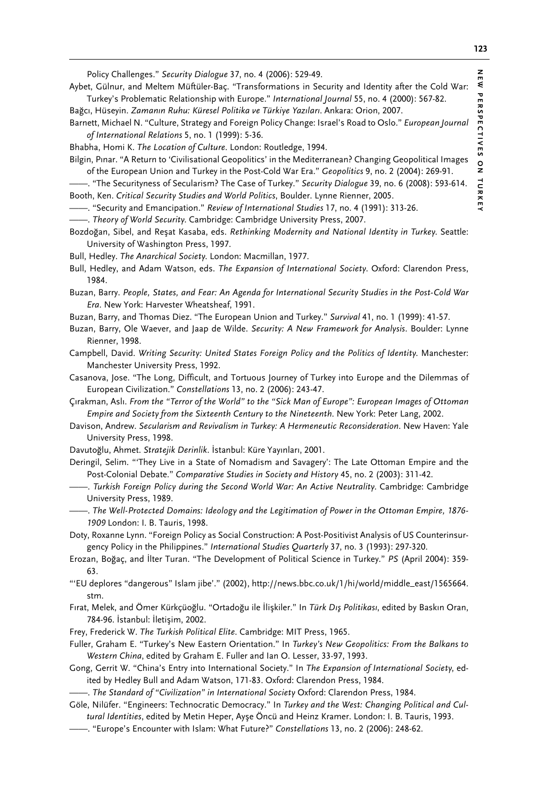Policy Challenges." *Security Dialogue* 37, no. 4 (2006): 529-49.

Aybet, Gülnur, and Meltem Müftüler-Baç. "Transformations in Security and Identity after the Cold War: Turkey's Problematic Relationship with Europe." *International Journal* 55, no. 4 (2000): 567-82.

Bağcı, Hüseyin. *Zamanın Ruhu: Küresel Politika ve Türkiye Yazıları*. Ankara: Orion, 2007.

Barnett, Michael N. "Culture, Strategy and Foreign Policy Change: Israel's Road to Oslo." *European Journal of International Relations* 5, no. 1 (1999): 5-36.

Bhabha, Homi K. *The Location of Culture*. London: Routledge, 1994.

Bilgin, Pınar. "A Return to 'Civilisational Geopolitics' in the Mediterranean? Changing Geopolitical Images of the European Union and Turkey in the Post-Cold War Era." *Geopolitics* 9, no. 2 (2004): 269-91.

——. "The Securityness of Secularism? The Case of Turkey." *Security Dialogue* 39, no. 6 (2008): 593-614. Booth, Ken. *Critical Security Studies and World Politics*, Boulder. Lynne Rienner, 2005.

——. "Security and Emancipation." *Review of International Studies* 17, no. 4 (1991): 313-26.

——. *Theory of World Security*. Cambridge: Cambridge University Press, 2007.

Bozdoğan, Sibel, and Reşat Kasaba, eds. *Rethinking Modernity and National Identity in Turkey*. Seattle: University of Washington Press, 1997.

Bull, Hedley. *The Anarchical Society*. London: Macmillan, 1977.

Bull, Hedley, and Adam Watson, eds. *The Expansion of International Society*. Oxford: Clarendon Press, 1984.

Buzan, Barry. *People, States, and Fear: An Agenda for International Security Studies in the Post-Cold War Era*. New York: Harvester Wheatsheaf, 1991.

Buzan, Barry, and Thomas Diez. "The European Union and Turkey." *Survival* 41, no. 1 (1999): 41-57.

Buzan, Barry, Ole Waever, and Jaap de Wilde. *Security: A New Framework for Analysis*. Boulder: Lynne Rienner, 1998.

Campbell, David. *Writing Security: United States Foreign Policy and the Politics of Identity*. Manchester: Manchester University Press, 1992.

Casanova, Jose. "The Long, Difficult, and Tortuous Journey of Turkey into Europe and the Dilemmas of European Civilization." *Constellations* 13, no. 2 (2006): 243-47.

Çırakman, Aslı. *From the "Terror of the World" to the "Sick Man of Europe": European Images of Ottoman Empire and Society from the Sixteenth Century to the Nineteenth*. New York: Peter Lang, 2002.

Davison, Andrew. *Secularism and Revivalism in Turkey: A Hermeneutic Reconsideration*. New Haven: Yale University Press, 1998.

Davutoğlu, Ahmet. *Stratejik Derinlik*. İstanbul: Küre Yayınları, 2001.

Deringil, Selim. "'They Live in a State of Nomadism and Savagery': The Late Ottoman Empire and the Post-Colonial Debate." *Comparative Studies in Society and History* 45, no. 2 (2003): 311-42.

- ——. *Turkish Foreign Policy during the Second World War: An Active Neutrality*. Cambridge: Cambridge University Press, 1989.
- ——. *The Well-Protected Domains: Ideology and the Legitimation of Power in the Ottoman Empire, 1876- 1909* London: I. B. Tauris, 1998.

Doty, Roxanne Lynn. "Foreign Policy as Social Construction: A Post-Positivist Analysis of US Counterinsurgency Policy in the Philippines." *International Studies Quarterly* 37, no. 3 (1993): 297-320.

Erozan, Boğaç, and İlter Turan. "The Development of Political Science in Turkey." *PS* (April 2004): 359- 63.

"'EU deplores "dangerous" Islam jibe'." (2002), http://news.bbc.co.uk/1/hi/world/middle\_east/1565664. stm.

Fırat, Melek, and Ömer Kürkçüoğlu. "Ortadoğu ile İlişkiler." In *Türk Dış Politikası*, edited by Baskın Oran, 784-96. İstanbul: İletişim, 2002.

Frey, Frederick W. *The Turkish Political Elite*. Cambridge: MIT Press, 1965.

Fuller, Graham E. "Turkey's New Eastern Orientation." In *Turkey's New Geopolitics: From the Balkans to Western China*, edited by Graham E. Fuller and Ian O. Lesser, 33-97, 1993.

Gong, Gerrit W. "China's Entry into International Society." In *The Expansion of International Society*, edited by Hedley Bull and Adam Watson, 171-83. Oxford: Clarendon Press, 1984.

——. *The Standard of "Civilization" in International Society* Oxford: Clarendon Press, 1984.

Göle, Nilüfer. "Engineers: Technocratic Democracy." In *Turkey and the West: Changing Political and Cultural Identities*, edited by Metin Heper, Ayşe Öncü and Heinz Kramer. London: I. B. Tauris, 1993.

——. "Europe's Encounter with Islam: What Future?" *Constellations* 13, no. 2 (2006): 248-62.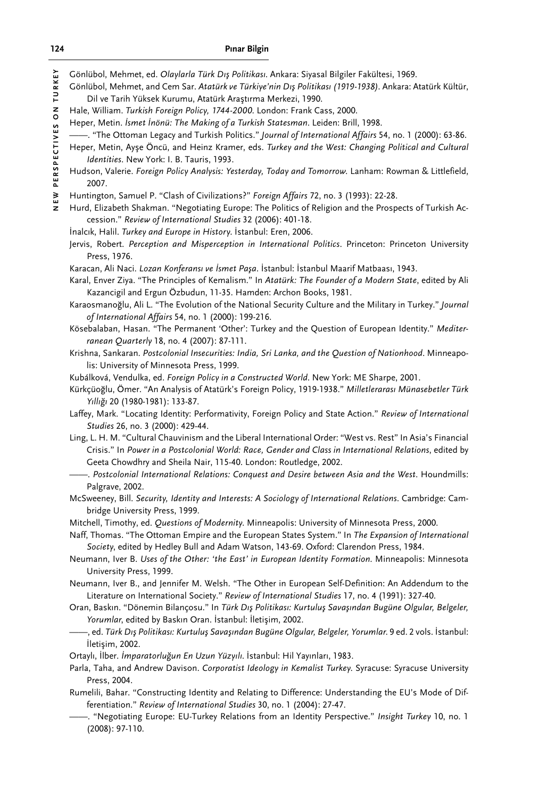Gönlübol, Mehmet, ed. *Olaylarla Türk Dış Politikası*. Ankara: Siyasal Bilgiler Fakültesi, 1969.

- Gönlübol, Mehmet, and Cem Sar. *Atatürk ve Türkiye'nin Dış Politikası (1919-1938)*. Ankara: Atatürk Kültür, Dil ve Tarih Yüksek Kurumu, Atatürk Araştırma Merkezi, 1990.
- Hale, William. *Turkish Foreign Policy, 1744-2000*. London: Frank Cass, 2000.
- Heper, Metin. *İsmet İnönü: The Making of a Turkish Statesman*. Leiden: Brill, 1998.
- ——. "The Ottoman Legacy and Turkish Politics." *Journal of International Affairs* 54, no. 1 (2000): 63-86.
- Heper, Metin, Ayşe Öncü, and Heinz Kramer, eds. *Turkey and the West: Changing Political and Cultural Identities*. New York: I. B. Tauris, 1993.
- Hudson, Valerie. *Foreign Policy Analysis: Yesterday, Today and Tomorrow*. Lanham: Rowman & Littlefield, 2007.
- Huntington, Samuel P. "Clash of Civilizations?" *Foreign Affairs* 72, no. 3 (1993): 22-28.
- Hurd, Elizabeth Shakman. "Negotiating Europe: The Politics of Religion and the Prospects of Turkish Accession." *Review of International Studies* 32 (2006): 401-18.
- İnalcık, Halil. *Turkey and Europe in History*. İstanbul: Eren, 2006.
- Jervis, Robert. *Perception and Misperception in International Politics*. Princeton: Princeton University Press, 1976.
- Karacan, Ali Naci. *Lozan Konferansı ve İsmet Paşa*. İstanbul: İstanbul Maarif Matbaası, 1943.
- Karal, Enver Ziya. "The Principles of Kemalism." In *Atatürk: The Founder of a Modern State*, edited by Ali Kazancigil and Ergun Özbudun, 11-35. Hamden: Archon Books, 1981.
- Karaosmanoğlu, Ali L. "The Evolution of the National Security Culture and the Military in Turkey." *Journal of International Affairs* 54, no. 1 (2000): 199-216.
- Kösebalaban, Hasan. "The Permanent 'Other': Turkey and the Question of European Identity." *Mediterranean Quarterly* 18, no. 4 (2007): 87-111.
- Krishna, Sankaran. *Postcolonial Insecurities: India, Sri Lanka, and the Question of Nationhood*. Minneapolis: University of Minnesota Press, 1999.
- Kubálková, Vendulka, ed. *Foreign Policy in a Constructed World*. New York: ME Sharpe, 2001.
- Kürkçüoğlu, Ömer. "An Analysis of Atatürk's Foreign Policy, 1919-1938." *Milletlerarası Münasebetler Türk Yıllığı* 20 (1980-1981): 133-87.
- Laffey, Mark. "Locating Identity: Performativity, Foreign Policy and State Action." *Review of International Studies* 26, no. 3 (2000): 429-44.
- Ling, L. H. M. "Cultural Chauvinism and the Liberal International Order: "West vs. Rest" In Asia's Financial Crisis." In *Power in a Postcolonial World: Race, Gender and Class in International Relations*, edited by Geeta Chowdhry and Sheila Nair, 115-40. London: Routledge, 2002.
- ——. *Postcolonial International Relations: Conquest and Desire between Asia and the West*. Houndmills: Palgrave, 2002.
- McSweeney, Bill. *Security, Identity and Interests: A Sociology of International Relations*. Cambridge: Cambridge University Press, 1999.
- Mitchell, Timothy, ed. *Questions of Modernity*. Minneapolis: University of Minnesota Press, 2000.
- Naff, Thomas. "The Ottoman Empire and the European States System." In *The Expansion of International Society*, edited by Hedley Bull and Adam Watson, 143-69. Oxford: Clarendon Press, 1984.
- Neumann, Iver B. *Uses of the Other: 'the East' in European Identity Formation*. Minneapolis: Minnesota University Press, 1999.
- Neumann, Iver B., and Jennifer M. Welsh. "The Other in European Self-Definition: An Addendum to the Literature on International Society." *Review of International Studies* 17, no. 4 (1991): 327-40.
- Oran, Baskın. "Dönemin Bilançosu." In *Türk Dış Politikası: Kurtuluş Savaşından Bugüne Olgular, Belgeler, Yorumlar*, edited by Baskın Oran. İstanbul: İletişim, 2002.
- ——, ed. *Türk Dış Politikası: Kurtuluş Savaşından Bugüne Olgular, Belgeler, Yorumlar*. 9 ed. 2 vols. İstanbul: İletişim, 2002.
- Ortaylı, İlber. *İmparatorluğun En Uzun Yüzyılı*. İstanbul: Hil Yayınları, 1983.
- Parla, Taha, and Andrew Davison. *Corporatist Ideology in Kemalist Turkey*. Syracuse: Syracuse University Press, 2004.
- Rumelili, Bahar. "Constructing Identity and Relating to Difference: Understanding the EU's Mode of Differentiation." *Review of International Studies* 30, no. 1 (2004): 27-47.
- ——. "Negotiating Europe: EU-Turkey Relations from an Identity Perspective." *Insight Turkey* 10, no. 1 (2008): 97-110.